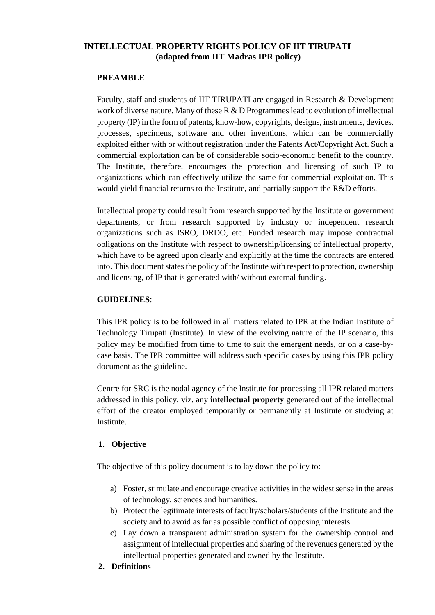## **INTELLECTUAL PROPERTY RIGHTS POLICY OF IIT TIRUPATI (adapted from IIT Madras IPR policy)**

## **PREAMBLE**

Faculty, staff and students of IIT TIRUPATI are engaged in Research & Development work of diverse nature. Many of these  $R \& D$  Programmes lead to evolution of intellectual property (IP) in the form of patents, know-how, copyrights, designs, instruments, devices, processes, specimens, software and other inventions, which can be commercially exploited either with or without registration under the Patents Act/Copyright Act. Such a commercial exploitation can be of considerable socio-economic benefit to the country. The Institute, therefore, encourages the protection and licensing of such IP to organizations which can effectively utilize the same for commercial exploitation. This would yield financial returns to the Institute, and partially support the R&D efforts.

Intellectual property could result from research supported by the Institute or government departments, or from research supported by industry or independent research organizations such as ISRO, DRDO, etc. Funded research may impose contractual obligations on the Institute with respect to ownership/licensing of intellectual property, which have to be agreed upon clearly and explicitly at the time the contracts are entered into. This document states the policy of the Institute with respect to protection, ownership and licensing, of IP that is generated with/ without external funding.

## **GUIDELINES**:

This IPR policy is to be followed in all matters related to IPR at the Indian Institute of Technology Tirupati (Institute). In view of the evolving nature of the IP scenario, this policy may be modified from time to time to suit the emergent needs, or on a case-bycase basis. The IPR committee will address such specific cases by using this IPR policy document as the guideline.

Centre for SRC is the nodal agency of the Institute for processing all IPR related matters addressed in this policy, viz. any **intellectual property** generated out of the intellectual effort of the creator employed temporarily or permanently at Institute or studying at Institute.

## **1. Objective**

The objective of this policy document is to lay down the policy to:

- a) Foster, stimulate and encourage creative activities in the widest sense in the areas of technology, sciences and humanities.
- b) Protect the legitimate interests of faculty/scholars/students of the Institute and the society and to avoid as far as possible conflict of opposing interests.
- c) Lay down a transparent administration system for the ownership control and assignment of intellectual properties and sharing of the revenues generated by the intellectual properties generated and owned by the Institute.
- **2. Definitions**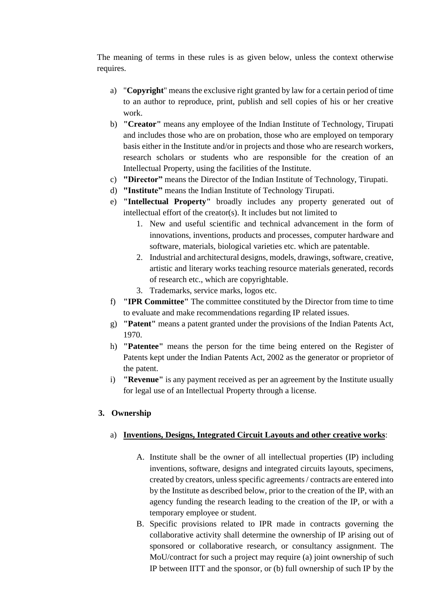The meaning of terms in these rules is as given below, unless the context otherwise requires.

- a) "**Copyright**" means the exclusive right granted by law for a certain period of time to an author to reproduce, print, publish and sell copies of his or her creative work.
- b) **"Creator"** means any employee of the Indian Institute of Technology, Tirupati and includes those who are on probation, those who are employed on temporary basis either in the Institute and/or in projects and those who are research workers, research scholars or students who are responsible for the creation of an Intellectual Property, using the facilities of the Institute.
- c) **"Director"** means the Director of the Indian Institute of Technology, Tirupati.
- d) **"Institute"** means the Indian Institute of Technology Tirupati.
- e) **"Intellectual Property"** broadly includes any property generated out of intellectual effort of the creator(s). It includes but not limited to
	- 1. New and useful scientific and technical advancement in the form of innovations, inventions, products and processes, computer hardware and software, materials, biological varieties etc. which are patentable.
	- 2. Industrial and architectural designs, models, drawings, software, creative, artistic and literary works teaching resource materials generated, records of research etc., which are copyrightable.
	- 3. Trademarks, service marks, logos etc.
- f) **"IPR Committee"** The committee constituted by the Director from time to time to evaluate and make recommendations regarding IP related issues.
- g) **"Patent"** means a patent granted under the provisions of the Indian Patents Act, 1970.
- h) **"Patentee"** means the person for the time being entered on the Register of Patents kept under the Indian Patents Act, 2002 as the generator or proprietor of the patent.
- i) **"Revenue"** is any payment received as per an agreement by the Institute usually for legal use of an Intellectual Property through a license.

## **3. Ownership**

## a) **Inventions, Designs, Integrated Circuit Layouts and other creative works**:

- A. Institute shall be the owner of all intellectual properties (IP) including inventions, software, designs and integrated circuits layouts, specimens, created by creators, unless specific agreements / contracts are entered into by the Institute as described below, prior to the creation of the IP, with an agency funding the research leading to the creation of the IP, or with a temporary employee or student.
- B. Specific provisions related to IPR made in contracts governing the collaborative activity shall determine the ownership of IP arising out of sponsored or collaborative research, or consultancy assignment. The MoU/contract for such a project may require (a) joint ownership of such IP between IITT and the sponsor, or (b) full ownership of such IP by the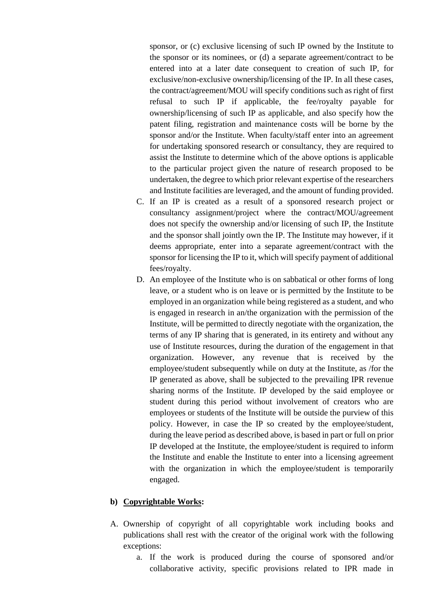sponsor, or (c) exclusive licensing of such IP owned by the Institute to the sponsor or its nominees, or (d) a separate agreement/contract to be entered into at a later date consequent to creation of such IP, for exclusive/non-exclusive ownership/licensing of the IP. In all these cases, the contract/agreement/MOU will specify conditions such as right of first refusal to such IP if applicable, the fee/royalty payable for ownership/licensing of such IP as applicable, and also specify how the patent filing, registration and maintenance costs will be borne by the sponsor and/or the Institute. When faculty/staff enter into an agreement for undertaking sponsored research or consultancy, they are required to assist the Institute to determine which of the above options is applicable to the particular project given the nature of research proposed to be undertaken, the degree to which prior relevant expertise of the researchers and Institute facilities are leveraged, and the amount of funding provided.

- C. If an IP is created as a result of a sponsored research project or consultancy assignment/project where the contract/MOU/agreement does not specify the ownership and/or licensing of such IP, the Institute and the sponsor shall jointly own the IP. The Institute may however, if it deems appropriate, enter into a separate agreement/contract with the sponsor for licensing the IP to it, which will specify payment of additional fees/royalty.
- D. An employee of the Institute who is on sabbatical or other forms of long leave, or a student who is on leave or is permitted by the Institute to be employed in an organization while being registered as a student, and who is engaged in research in an/the organization with the permission of the Institute, will be permitted to directly negotiate with the organization, the terms of any IP sharing that is generated, in its entirety and without any use of Institute resources, during the duration of the engagement in that organization. However, any revenue that is received by the employee/student subsequently while on duty at the Institute, as /for the IP generated as above, shall be subjected to the prevailing IPR revenue sharing norms of the Institute. IP developed by the said employee or student during this period without involvement of creators who are employees or students of the Institute will be outside the purview of this policy. However, in case the IP so created by the employee/student, during the leave period as described above, is based in part or full on prior IP developed at the Institute, the employee/student is required to inform the Institute and enable the Institute to enter into a licensing agreement with the organization in which the employee/student is temporarily engaged.

#### **b) Copyrightable Works:**

- A. Ownership of copyright of all copyrightable work including books and publications shall rest with the creator of the original work with the following exceptions:
	- a. If the work is produced during the course of sponsored and/or collaborative activity, specific provisions related to IPR made in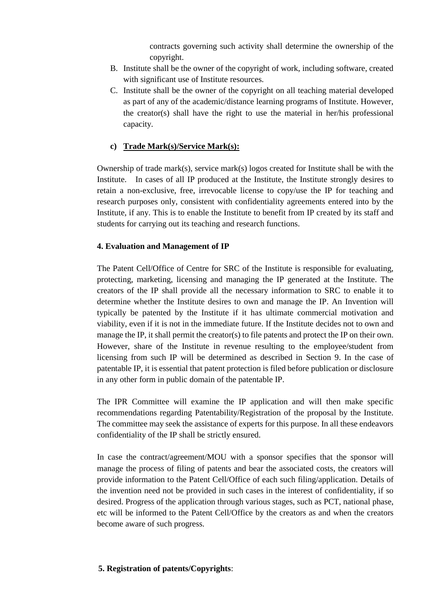contracts governing such activity shall determine the ownership of the copyright.

- B. Institute shall be the owner of the copyright of work, including software, created with significant use of Institute resources.
- C. Institute shall be the owner of the copyright on all teaching material developed as part of any of the academic/distance learning programs of Institute. However, the creator(s) shall have the right to use the material in her/his professional capacity.

## **c) Trade Mark(s)/Service Mark(s):**

Ownership of trade mark(s), service mark(s) logos created for Institute shall be with the Institute. In cases of all IP produced at the Institute, the Institute strongly desires to retain a non-exclusive, free, irrevocable license to copy/use the IP for teaching and research purposes only, consistent with confidentiality agreements entered into by the Institute, if any. This is to enable the Institute to benefit from IP created by its staff and students for carrying out its teaching and research functions.

## **4. Evaluation and Management of IP**

The Patent Cell/Office of Centre for SRC of the Institute is responsible for evaluating, protecting, marketing, licensing and managing the IP generated at the Institute. The creators of the IP shall provide all the necessary information to SRC to enable it to determine whether the Institute desires to own and manage the IP. An Invention will typically be patented by the Institute if it has ultimate commercial motivation and viability, even if it is not in the immediate future. If the Institute decides not to own and manage the IP, it shall permit the creator(s) to file patents and protect the IP on their own. However, share of the Institute in revenue resulting to the employee/student from licensing from such IP will be determined as described in Section 9. In the case of patentable IP, it is essential that patent protection is filed before publication or disclosure in any other form in public domain of the patentable IP.

The IPR Committee will examine the IP application and will then make specific recommendations regarding Patentability/Registration of the proposal by the Institute. The committee may seek the assistance of experts for this purpose. In all these endeavors confidentiality of the IP shall be strictly ensured.

In case the contract/agreement/MOU with a sponsor specifies that the sponsor will manage the process of filing of patents and bear the associated costs, the creators will provide information to the Patent Cell/Office of each such filing/application. Details of the invention need not be provided in such cases in the interest of confidentiality, if so desired. Progress of the application through various stages, such as PCT, national phase, etc will be informed to the Patent Cell/Office by the creators as and when the creators become aware of such progress.

## **5. Registration of patents/Copyrights**: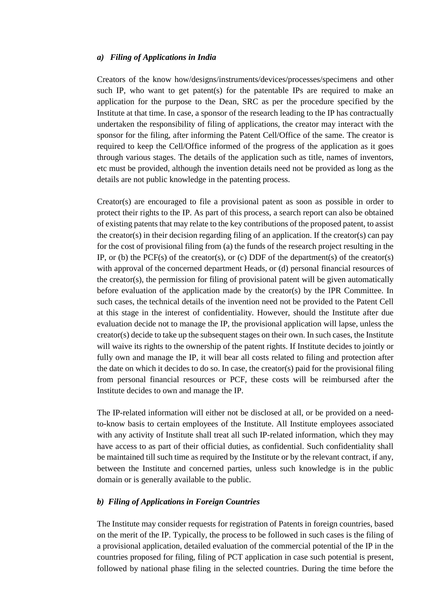#### *a) Filing of Applications in India*

Creators of the know how/designs/instruments/devices/processes/specimens and other such IP, who want to get patent(s) for the patentable IPs are required to make an application for the purpose to the Dean, SRC as per the procedure specified by the Institute at that time. In case, a sponsor of the research leading to the IP has contractually undertaken the responsibility of filing of applications, the creator may interact with the sponsor for the filing, after informing the Patent Cell/Office of the same. The creator is required to keep the Cell/Office informed of the progress of the application as it goes through various stages. The details of the application such as title, names of inventors, etc must be provided, although the invention details need not be provided as long as the details are not public knowledge in the patenting process.

Creator(s) are encouraged to file a provisional patent as soon as possible in order to protect their rights to the IP. As part of this process, a search report can also be obtained of existing patents that may relate to the key contributions of the proposed patent, to assist the creator(s) in their decision regarding filing of an application. If the creator(s) can pay for the cost of provisional filing from (a) the funds of the research project resulting in the IP, or (b) the PCF(s) of the creator(s), or (c) DDF of the department(s) of the creator(s) with approval of the concerned department Heads, or (d) personal financial resources of the creator(s), the permission for filing of provisional patent will be given automatically before evaluation of the application made by the creator(s) by the IPR Committee. In such cases, the technical details of the invention need not be provided to the Patent Cell at this stage in the interest of confidentiality. However, should the Institute after due evaluation decide not to manage the IP, the provisional application will lapse, unless the creator(s) decide to take up the subsequent stages on their own. In such cases, the Institute will waive its rights to the ownership of the patent rights. If Institute decides to jointly or fully own and manage the IP, it will bear all costs related to filing and protection after the date on which it decides to do so. In case, the creator(s) paid for the provisional filing from personal financial resources or PCF, these costs will be reimbursed after the Institute decides to own and manage the IP.

The IP-related information will either not be disclosed at all, or be provided on a needto-know basis to certain employees of the Institute. All Institute employees associated with any activity of Institute shall treat all such IP-related information, which they may have access to as part of their official duties, as confidential. Such confidentiality shall be maintained till such time as required by the Institute or by the relevant contract, if any, between the Institute and concerned parties, unless such knowledge is in the public domain or is generally available to the public.

#### *b) Filing of Applications in Foreign Countries*

The Institute may consider requests for registration of Patents in foreign countries, based on the merit of the IP. Typically, the process to be followed in such cases is the filing of a provisional application, detailed evaluation of the commercial potential of the IP in the countries proposed for filing, filing of PCT application in case such potential is present, followed by national phase filing in the selected countries. During the time before the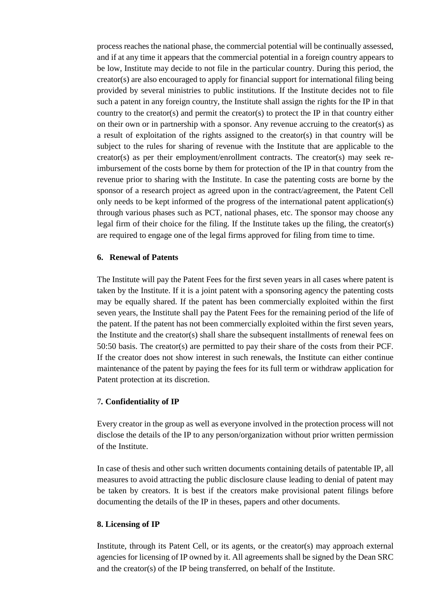process reaches the national phase, the commercial potential will be continually assessed, and if at any time it appears that the commercial potential in a foreign country appears to be low, Institute may decide to not file in the particular country. During this period, the creator(s) are also encouraged to apply for financial support for international filing being provided by several ministries to public institutions. If the Institute decides not to file such a patent in any foreign country, the Institute shall assign the rights for the IP in that country to the creator(s) and permit the creator(s) to protect the IP in that country either on their own or in partnership with a sponsor. Any revenue accruing to the creator(s) as a result of exploitation of the rights assigned to the creator(s) in that country will be subject to the rules for sharing of revenue with the Institute that are applicable to the creator(s) as per their employment/enrollment contracts. The creator(s) may seek reimbursement of the costs borne by them for protection of the IP in that country from the revenue prior to sharing with the Institute. In case the patenting costs are borne by the sponsor of a research project as agreed upon in the contract/agreement, the Patent Cell only needs to be kept informed of the progress of the international patent application(s) through various phases such as PCT, national phases, etc. The sponsor may choose any legal firm of their choice for the filing. If the Institute takes up the filing, the creator(s) are required to engage one of the legal firms approved for filing from time to time.

#### **6. Renewal of Patents**

The Institute will pay the Patent Fees for the first seven years in all cases where patent is taken by the Institute. If it is a joint patent with a sponsoring agency the patenting costs may be equally shared. If the patent has been commercially exploited within the first seven years, the Institute shall pay the Patent Fees for the remaining period of the life of the patent. If the patent has not been commercially exploited within the first seven years, the Institute and the creator(s) shall share the subsequent installments of renewal fees on 50:50 basis. The creator(s) are permitted to pay their share of the costs from their PCF. If the creator does not show interest in such renewals, the Institute can either continue maintenance of the patent by paying the fees for its full term or withdraw application for Patent protection at its discretion.

## 7*.* **Confidentiality of IP**

Every creator in the group as well as everyone involved in the protection process will not disclose the details of the IP to any person/organization without prior written permission of the Institute.

In case of thesis and other such written documents containing details of patentable IP, all measures to avoid attracting the public disclosure clause leading to denial of patent may be taken by creators. It is best if the creators make provisional patent filings before documenting the details of the IP in theses, papers and other documents.

#### **8. Licensing of IP**

Institute, through its Patent Cell, or its agents, or the creator(s) may approach external agencies for licensing of IP owned by it. All agreements shall be signed by the Dean SRC and the creator(s) of the IP being transferred, on behalf of the Institute.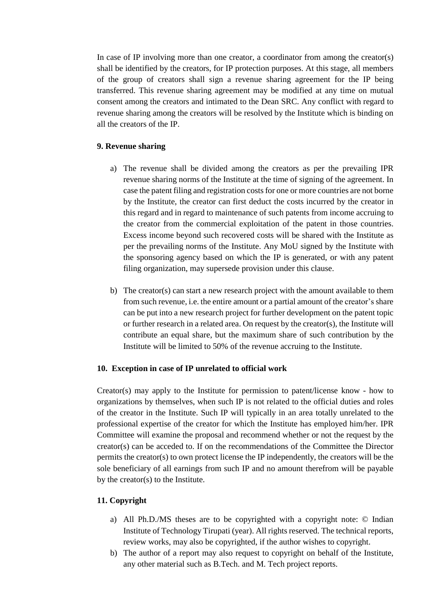In case of IP involving more than one creator, a coordinator from among the creator(s) shall be identified by the creators, for IP protection purposes. At this stage, all members of the group of creators shall sign a revenue sharing agreement for the IP being transferred. This revenue sharing agreement may be modified at any time on mutual consent among the creators and intimated to the Dean SRC. Any conflict with regard to revenue sharing among the creators will be resolved by the Institute which is binding on all the creators of the IP.

## **9. Revenue sharing**

- a) The revenue shall be divided among the creators as per the prevailing IPR revenue sharing norms of the Institute at the time of signing of the agreement. In case the patent filing and registration costsfor one or more countries are not borne by the Institute, the creator can first deduct the costs incurred by the creator in this regard and in regard to maintenance of such patents from income accruing to the creator from the commercial exploitation of the patent in those countries. Excess income beyond such recovered costs will be shared with the Institute as per the prevailing norms of the Institute. Any MoU signed by the Institute with the sponsoring agency based on which the IP is generated, or with any patent filing organization, may supersede provision under this clause.
- b) The creator(s) can start a new research project with the amount available to them from such revenue, i.e. the entire amount or a partial amount of the creator's share can be put into a new research project for further development on the patent topic or further research in a related area. On request by the creator(s), the Institute will contribute an equal share, but the maximum share of such contribution by the Institute will be limited to 50% of the revenue accruing to the Institute.

#### **10. Exception in case of IP unrelated to official work**

Creator(s) may apply to the Institute for permission to patent/license know - how to organizations by themselves, when such IP is not related to the official duties and roles of the creator in the Institute. Such IP will typically in an area totally unrelated to the professional expertise of the creator for which the Institute has employed him/her. IPR Committee will examine the proposal and recommend whether or not the request by the creator(s) can be acceded to. If on the recommendations of the Committee the Director permits the creator(s) to own protect license the IP independently, the creators will be the sole beneficiary of all earnings from such IP and no amount therefrom will be payable by the creator(s) to the Institute.

## **11. Copyright**

- a) All Ph.D./MS theses are to be copyrighted with a copyright note: © Indian Institute of Technology Tirupati (year). All rights reserved. The technical reports, review works, may also be copyrighted, if the author wishes to copyright.
- b) The author of a report may also request to copyright on behalf of the Institute, any other material such as B.Tech. and M. Tech project reports.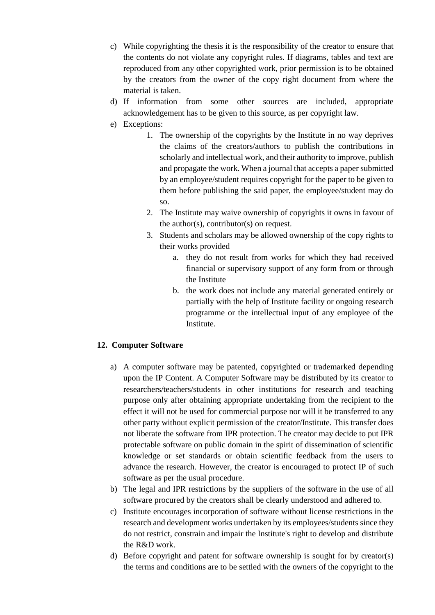- c) While copyrighting the thesis it is the responsibility of the creator to ensure that the contents do not violate any copyright rules. If diagrams, tables and text are reproduced from any other copyrighted work, prior permission is to be obtained by the creators from the owner of the copy right document from where the material is taken.
- d) If information from some other sources are included, appropriate acknowledgement has to be given to this source, as per copyright law.
- e) Exceptions:
	- 1. The ownership of the copyrights by the Institute in no way deprives the claims of the creators/authors to publish the contributions in scholarly and intellectual work, and their authority to improve, publish and propagate the work. When a journal that accepts a paper submitted by an employee/student requires copyright for the paper to be given to them before publishing the said paper, the employee/student may do so.
	- 2. The Institute may waive ownership of copyrights it owns in favour of the author(s), contributor(s) on request.
	- 3. Students and scholars may be allowed ownership of the copy rights to their works provided
		- a. they do not result from works for which they had received financial or supervisory support of any form from or through the Institute
		- b. the work does not include any material generated entirely or partially with the help of Institute facility or ongoing research programme or the intellectual input of any employee of the Institute.

## **12. Computer Software**

- a) A computer software may be patented, copyrighted or trademarked depending upon the IP Content. A Computer Software may be distributed by its creator to researchers/teachers/students in other institutions for research and teaching purpose only after obtaining appropriate undertaking from the recipient to the effect it will not be used for commercial purpose nor will it be transferred to any other party without explicit permission of the creator/Institute. This transfer does not liberate the software from IPR protection. The creator may decide to put IPR protectable software on public domain in the spirit of dissemination of scientific knowledge or set standards or obtain scientific feedback from the users to advance the research. However, the creator is encouraged to protect IP of such software as per the usual procedure.
- b) The legal and IPR restrictions by the suppliers of the software in the use of all software procured by the creators shall be clearly understood and adhered to.
- c) Institute encourages incorporation of software without license restrictions in the research and development works undertaken by its employees/students since they do not restrict, constrain and impair the Institute's right to develop and distribute the R&D work.
- d) Before copyright and patent for software ownership is sought for by creator(s) the terms and conditions are to be settled with the owners of the copyright to the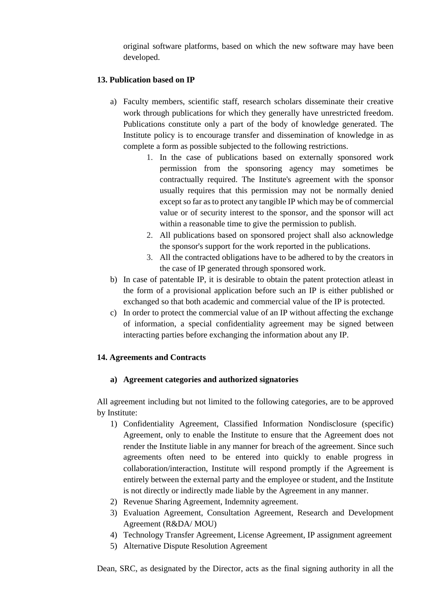original software platforms, based on which the new software may have been developed.

## **13. Publication based on IP**

- a) Faculty members, scientific staff, research scholars disseminate their creative work through publications for which they generally have unrestricted freedom. Publications constitute only a part of the body of knowledge generated. The Institute policy is to encourage transfer and dissemination of knowledge in as complete a form as possible subjected to the following restrictions.
	- 1. In the case of publications based on externally sponsored work permission from the sponsoring agency may sometimes be contractually required. The Institute's agreement with the sponsor usually requires that this permission may not be normally denied except so far asto protect any tangible IP which may be of commercial value or of security interest to the sponsor, and the sponsor will act within a reasonable time to give the permission to publish.
	- 2. All publications based on sponsored project shall also acknowledge the sponsor's support for the work reported in the publications.
	- 3. All the contracted obligations have to be adhered to by the creators in the case of IP generated through sponsored work.
- b) In case of patentable IP, it is desirable to obtain the patent protection atleast in the form of a provisional application before such an IP is either published or exchanged so that both academic and commercial value of the IP is protected.
- c) In order to protect the commercial value of an IP without affecting the exchange of information, a special confidentiality agreement may be signed between interacting parties before exchanging the information about any IP.

## **14. Agreements and Contracts**

## **a) Agreement categories and authorized signatories**

All agreement including but not limited to the following categories, are to be approved by Institute:

- 1) Confidentiality Agreement, Classified Information Nondisclosure (specific) Agreement, only to enable the Institute to ensure that the Agreement does not render the Institute liable in any manner for breach of the agreement. Since such agreements often need to be entered into quickly to enable progress in collaboration/interaction, Institute will respond promptly if the Agreement is entirely between the external party and the employee or student, and the Institute is not directly or indirectly made liable by the Agreement in any manner.
- 2) Revenue Sharing Agreement, Indemnity agreement.
- 3) Evaluation Agreement, Consultation Agreement, Research and Development Agreement (R&DA/ MOU)
- 4) Technology Transfer Agreement, License Agreement, IP assignment agreement
- 5) Alternative Dispute Resolution Agreement

Dean, SRC, as designated by the Director, acts as the final signing authority in all the